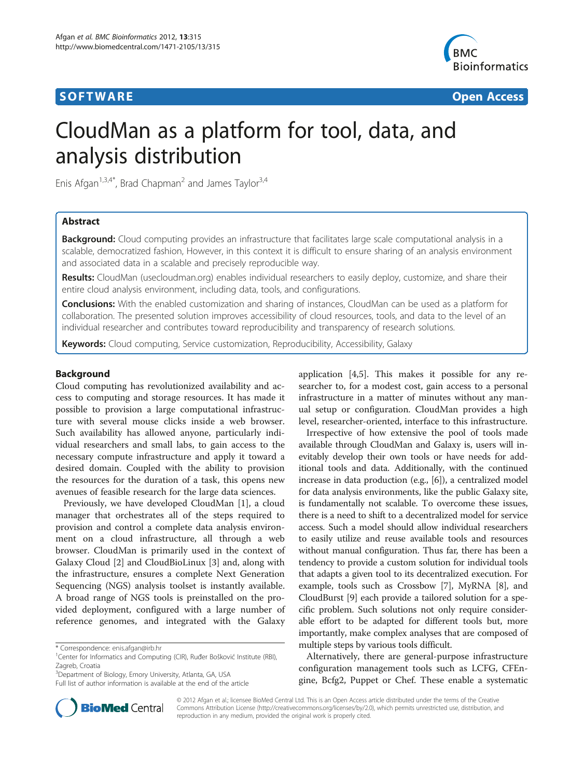## **SOFTWARE SOFTWARE** *CONSERVERSE EXECUTIVE EXECUTIVE EXECUTIVE EXECUTIVE EXECUTIVE EXECUTIVE EXECUTIVE EXECUTIVE EXECUTIVE EXECUTIVE EXECUTIVE EXECUTIVE EXECUTIVE EXECUTIVE EXECUTIVE EXECUTIVE EXECUTIVE EXECUTIVE EXECUT*



# CloudMan as a platform for tool, data, and analysis distribution

Enis Afgan<sup>1,3,4\*</sup>, Brad Chapman<sup>2</sup> and James Taylor<sup>3,4</sup>

## Abstract

Background: Cloud computing provides an infrastructure that facilitates large scale computational analysis in a scalable, democratized fashion, However, in this context it is difficult to ensure sharing of an analysis environment and associated data in a scalable and precisely reproducible way.

Results: CloudMan (usecloudman.org) enables individual researchers to easily deploy, customize, and share their entire cloud analysis environment, including data, tools, and configurations.

**Conclusions:** With the enabled customization and sharing of instances, CloudMan can be used as a platform for collaboration. The presented solution improves accessibility of cloud resources, tools, and data to the level of an individual researcher and contributes toward reproducibility and transparency of research solutions.

**Keywords:** Cloud computing, Service customization, Reproducibility, Accessibility, Galaxy

## Background

Cloud computing has revolutionized availability and access to computing and storage resources. It has made it possible to provision a large computational infrastructure with several mouse clicks inside a web browser. Such availability has allowed anyone, particularly individual researchers and small labs, to gain access to the necessary compute infrastructure and apply it toward a desired domain. Coupled with the ability to provision the resources for the duration of a task, this opens new avenues of feasible research for the large data sciences.

Previously, we have developed CloudMan [[1\]](#page-6-0), a cloud manager that orchestrates all of the steps required to provision and control a complete data analysis environment on a cloud infrastructure, all through a web browser. CloudMan is primarily used in the context of Galaxy Cloud [[2\]](#page-6-0) and CloudBioLinux [\[3\]](#page-6-0) and, along with the infrastructure, ensures a complete Next Generation Sequencing (NGS) analysis toolset is instantly available. A broad range of NGS tools is preinstalled on the provided deployment, configured with a large number of reference genomes, and integrated with the Galaxy

\* Correspondence: [enis.afgan@irb.hr](mailto:enis.afgan@irb.hr) <sup>1</sup>

application [[4,5\]](#page-6-0). This makes it possible for any researcher to, for a modest cost, gain access to a personal infrastructure in a matter of minutes without any manual setup or configuration. CloudMan provides a high level, researcher-oriented, interface to this infrastructure.

Irrespective of how extensive the pool of tools made available through CloudMan and Galaxy is, users will inevitably develop their own tools or have needs for additional tools and data. Additionally, with the continued increase in data production (e.g., [\[6](#page-6-0)]), a centralized model for data analysis environments, like the public Galaxy site, is fundamentally not scalable. To overcome these issues, there is a need to shift to a decentralized model for service access. Such a model should allow individual researchers to easily utilize and reuse available tools and resources without manual configuration. Thus far, there has been a tendency to provide a custom solution for individual tools that adapts a given tool to its decentralized execution. For example, tools such as Crossbow [[7](#page-6-0)], MyRNA [[8\]](#page-6-0), and CloudBurst [[9\]](#page-6-0) each provide a tailored solution for a specific problem. Such solutions not only require considerable effort to be adapted for different tools but, more importantly, make complex analyses that are composed of multiple steps by various tools difficult.

Alternatively, there are general-purpose infrastructure configuration management tools such as LCFG, CFEngine, Bcfg2, Puppet or Chef. These enable a systematic



© 2012 Afgan et al.; licensee BioMed Central Ltd. This is an Open Access article distributed under the terms of the Creative Commons Attribution License (http://creativecommons.org/licenses/by/2.0), which permits unrestricted use, distribution, and reproduction in any medium, provided the original work is properly cited.

<sup>&</sup>lt;sup>1</sup>Center for Informatics and Computing (CIR), Ruđer Bošković Institute (RBI), Zagreb, Croatia

<sup>3</sup> Department of Biology, Emory University, Atlanta, GA, USA

Full list of author information is available at the end of the article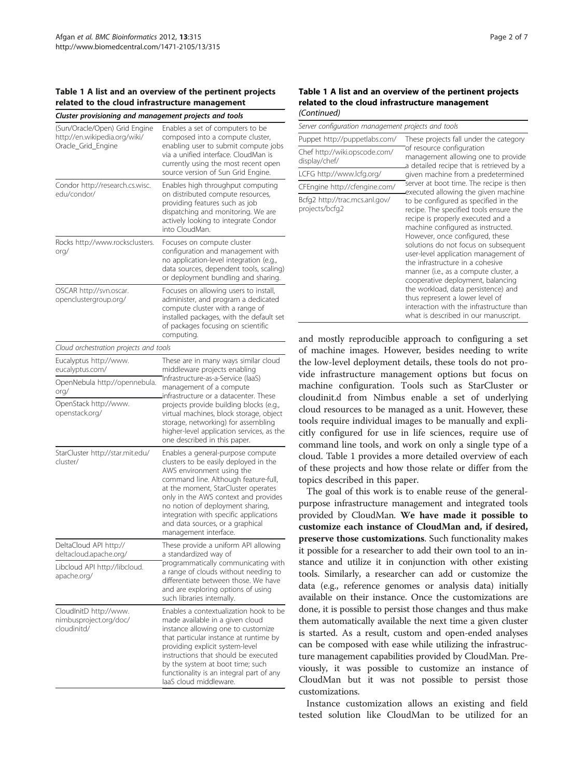#### Table 1 A list and an overview of the pertinent projects related to the cloud infrastructure management

| Cluster provisioning and management projects and tools                               |                                                                                                                                                                                                                                                                                                                                                                           |
|--------------------------------------------------------------------------------------|---------------------------------------------------------------------------------------------------------------------------------------------------------------------------------------------------------------------------------------------------------------------------------------------------------------------------------------------------------------------------|
| (Sun/Oracle/Open) Grid Engine<br>http://en.wikipedia.org/wiki/<br>Oracle_Grid_Engine | Enables a set of computers to be<br>composed into a compute cluster,<br>enabling user to submit compute jobs<br>via a unified interface. CloudMan is<br>currently using the most recent open<br>source version of Sun Grid Engine.                                                                                                                                        |
| Condor http://research.cs.wisc.<br>edu/condor/                                       | Enables high throughput computing<br>on distributed compute resources,<br>providing features such as job<br>dispatching and monitoring. We are<br>actively looking to integrate Condor<br>into CloudMan.                                                                                                                                                                  |
| Rocks http://www.rocksclusters.<br>org/                                              | Focuses on compute cluster<br>configuration and management with<br>no application-level integration (e.g.,<br>data sources, dependent tools, scaling)<br>or deployment bundling and sharing.                                                                                                                                                                              |
| OSCAR http://svn.oscar.<br>openclustergroup.org/                                     | Focuses on allowing users to install,<br>administer, and program a dedicated<br>compute cluster with a range of<br>installed packages, with the default set<br>of packages focusing on scientific<br>computing.                                                                                                                                                           |
| Cloud orchestration projects and tools                                               |                                                                                                                                                                                                                                                                                                                                                                           |
| Eucalyptus http://www.<br>eucalyptus.com/                                            | These are in many ways similar cloud<br>middleware projects enabling                                                                                                                                                                                                                                                                                                      |
| OpenNebula http://opennebula.<br>org/<br>OpenStack http://www.                       | Infrastructure-as-a-Service (laaS)<br>management of a compute<br>infrastructure or a datacenter. These<br>projects provide building blocks (e.g.,<br>virtual machines, block storage, object<br>storage, networking) for assembling<br>higher-level application services, as the<br>one described in this paper.                                                          |
| openstack.org/                                                                       |                                                                                                                                                                                                                                                                                                                                                                           |
| StarCluster http://star.mit.edu/<br>cluster/                                         | Enables a general-purpose compute<br>clusters to be easily deployed in the<br>AWS environment using the<br>command line. Although feature-full,<br>at the moment, StarCluster operates<br>only in the AWS context and provides<br>no notion of deployment sharing,<br>integration with specific applications<br>and data sources, or a graphical<br>management interface. |
| DeltaCloud API http://<br>deltacloud.apache.org/                                     | These provide a uniform API allowing<br>a standardized way of                                                                                                                                                                                                                                                                                                             |
| Libcloud API http://libcloud.<br>apache.org/                                         | programmatically communicating with<br>a range of clouds without needing to<br>differentiate between those. We have<br>and are exploring options of using<br>such libraries internally.                                                                                                                                                                                   |
| CloudInitD http://www.<br>nimbusproject.org/doc/<br>cloudinitd/                      | Enables a contextualization hook to be<br>made available in a given cloud<br>instance allowing one to customize<br>that particular instance at runtime by<br>providing explicit system-level<br>instructions that should be executed<br>by the system at boot time; such<br>functionality is an integral part of any<br>laaS cloud middleware.                            |

#### Table 1 A list and an overview of the pertinent projects related to the cloud infrastructure management (Continued)

| Server configuration management projects and tools |                                                                                                                                                                                                                                                                                                                                                                                                                                                                                                                                                                                                                                                                                                                                                                                                                                              |
|----------------------------------------------------|----------------------------------------------------------------------------------------------------------------------------------------------------------------------------------------------------------------------------------------------------------------------------------------------------------------------------------------------------------------------------------------------------------------------------------------------------------------------------------------------------------------------------------------------------------------------------------------------------------------------------------------------------------------------------------------------------------------------------------------------------------------------------------------------------------------------------------------------|
| Puppet http://puppetlabs.com/                      | These projects fall under the category<br>of resource configuration<br>management allowing one to provide<br>a detailed recipe that is retrieved by a<br>given machine from a predetermined<br>server at boot time. The recipe is then<br>executed allowing the given machine<br>to be configured as specified in the<br>recipe. The specified tools ensure the<br>recipe is properly executed and a<br>machine configured as instructed.<br>However, once configured, these<br>solutions do not focus on subsequent<br>user-level application management of<br>the infrastructure in a cohesive<br>manner (i.e., as a compute cluster, a<br>cooperative deployment, balancing<br>the workload, data persistence) and<br>thus represent a lower level of<br>interaction with the infrastructure than<br>what is described in our manuscript. |
| Chef http://wiki.opscode.com/<br>display/chef/     |                                                                                                                                                                                                                                                                                                                                                                                                                                                                                                                                                                                                                                                                                                                                                                                                                                              |
| LCFG http://www.lcfg.org/                          |                                                                                                                                                                                                                                                                                                                                                                                                                                                                                                                                                                                                                                                                                                                                                                                                                                              |
| CFEngine http://cfengine.com/                      |                                                                                                                                                                                                                                                                                                                                                                                                                                                                                                                                                                                                                                                                                                                                                                                                                                              |
| Bcfg2 http://trac.mcs.anl.gov/<br>projects/bcfq2   |                                                                                                                                                                                                                                                                                                                                                                                                                                                                                                                                                                                                                                                                                                                                                                                                                                              |

and mostly reproducible approach to configuring a set of machine images. However, besides needing to write the low-level deployment details, these tools do not provide infrastructure management options but focus on machine configuration. Tools such as StarCluster or cloudinit.d from Nimbus enable a set of underlying cloud resources to be managed as a unit. However, these tools require individual images to be manually and explicitly configured for use in life sciences, require use of command line tools, and work on only a single type of a cloud. Table 1 provides a more detailed overview of each of these projects and how those relate or differ from the topics described in this paper.

The goal of this work is to enable reuse of the generalpurpose infrastructure management and integrated tools provided by CloudMan. We have made it possible to customize each instance of CloudMan and, if desired, preserve those customizations. Such functionality makes it possible for a researcher to add their own tool to an instance and utilize it in conjunction with other existing tools. Similarly, a researcher can add or customize the data (e.g., reference genomes or analysis data) initially available on their instance. Once the customizations are done, it is possible to persist those changes and thus make them automatically available the next time a given cluster is started. As a result, custom and open-ended analyses can be composed with ease while utilizing the infrastructure management capabilities provided by CloudMan. Previously, it was possible to customize an instance of CloudMan but it was not possible to persist those customizations.

Instance customization allows an existing and field tested solution like CloudMan to be utilized for an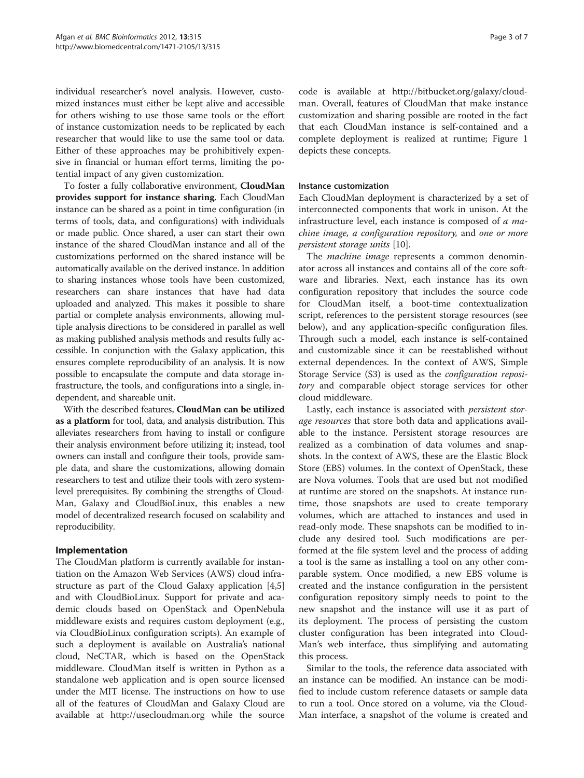individual researcher's novel analysis. However, customized instances must either be kept alive and accessible for others wishing to use those same tools or the effort of instance customization needs to be replicated by each researcher that would like to use the same tool or data. Either of these approaches may be prohibitively expensive in financial or human effort terms, limiting the potential impact of any given customization.

To foster a fully collaborative environment, CloudMan provides support for instance sharing. Each CloudMan instance can be shared as a point in time configuration (in terms of tools, data, and configurations) with individuals or made public. Once shared, a user can start their own instance of the shared CloudMan instance and all of the customizations performed on the shared instance will be automatically available on the derived instance. In addition to sharing instances whose tools have been customized, researchers can share instances that have had data uploaded and analyzed. This makes it possible to share partial or complete analysis environments, allowing multiple analysis directions to be considered in parallel as well as making published analysis methods and results fully accessible. In conjunction with the Galaxy application, this ensures complete reproducibility of an analysis. It is now possible to encapsulate the compute and data storage infrastructure, the tools, and configurations into a single, independent, and shareable unit.

With the described features, CloudMan can be utilized as a platform for tool, data, and analysis distribution. This alleviates researchers from having to install or configure their analysis environment before utilizing it; instead, tool owners can install and configure their tools, provide sample data, and share the customizations, allowing domain researchers to test and utilize their tools with zero systemlevel prerequisites. By combining the strengths of Cloud-Man, Galaxy and CloudBioLinux, this enables a new model of decentralized research focused on scalability and reproducibility.

## Implementation

The CloudMan platform is currently available for instantiation on the Amazon Web Services (AWS) cloud infrastructure as part of the Cloud Galaxy application [\[4,5](#page-6-0)] and with CloudBioLinux. Support for private and academic clouds based on OpenStack and OpenNebula middleware exists and requires custom deployment (e.g., via CloudBioLinux configuration scripts). An example of such a deployment is available on Australia's national cloud, NeCTAR, which is based on the OpenStack middleware. CloudMan itself is written in Python as a standalone web application and is open source licensed under the MIT license. The instructions on how to use all of the features of CloudMan and Galaxy Cloud are available at [http://usecloudman.org](http://www.usecloudman.org) while the source

code is available at [http://bitbucket.org/galaxy/cloud](http://www.bitbucket.org/galaxy/cloudman)[man.](http://www.bitbucket.org/galaxy/cloudman) Overall, features of CloudMan that make instance customization and sharing possible are rooted in the fact that each CloudMan instance is self-contained and a complete deployment is realized at runtime; Figure [1](#page-3-0) depicts these concepts.

## Instance customization

Each CloudMan deployment is characterized by a set of interconnected components that work in unison. At the infrastructure level, each instance is composed of a machine image, a configuration repository, and one or more persistent storage units [[10\]](#page-6-0).

The *machine image* represents a common denominator across all instances and contains all of the core software and libraries. Next, each instance has its own configuration repository that includes the source code for CloudMan itself, a boot-time contextualization script, references to the persistent storage resources (see below), and any application-specific configuration files. Through such a model, each instance is self-contained and customizable since it can be reestablished without external dependences. In the context of AWS, Simple Storage Service (S3) is used as the configuration repository and comparable object storage services for other cloud middleware.

Lastly, each instance is associated with persistent storage resources that store both data and applications available to the instance. Persistent storage resources are realized as a combination of data volumes and snapshots. In the context of AWS, these are the Elastic Block Store (EBS) volumes. In the context of OpenStack, these are Nova volumes. Tools that are used but not modified at runtime are stored on the snapshots. At instance runtime, those snapshots are used to create temporary volumes, which are attached to instances and used in read-only mode. These snapshots can be modified to include any desired tool. Such modifications are performed at the file system level and the process of adding a tool is the same as installing a tool on any other comparable system. Once modified, a new EBS volume is created and the instance configuration in the persistent configuration repository simply needs to point to the new snapshot and the instance will use it as part of its deployment. The process of persisting the custom cluster configuration has been integrated into Cloud-Man's web interface, thus simplifying and automating this process.

Similar to the tools, the reference data associated with an instance can be modified. An instance can be modified to include custom reference datasets or sample data to run a tool. Once stored on a volume, via the Cloud-Man interface, a snapshot of the volume is created and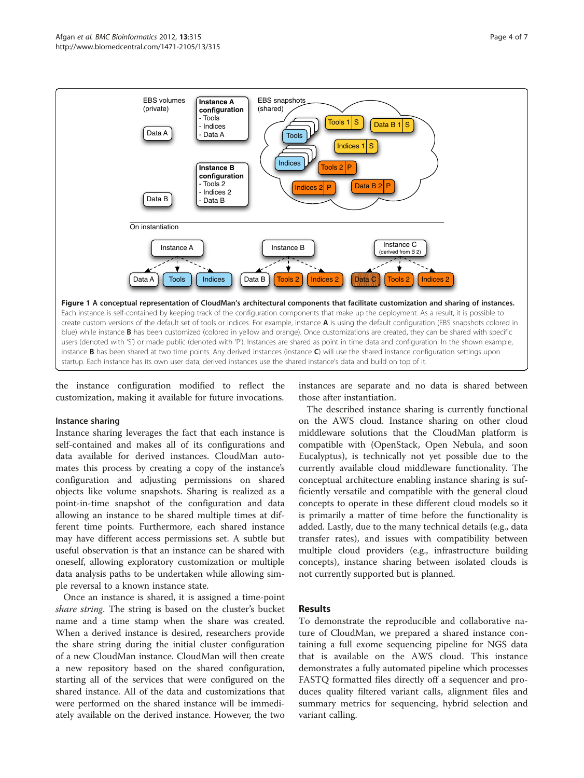<span id="page-3-0"></span>

the instance configuration modified to reflect the customization, making it available for future invocations.

#### Instance sharing

Instance sharing leverages the fact that each instance is self-contained and makes all of its configurations and data available for derived instances. CloudMan automates this process by creating a copy of the instance's configuration and adjusting permissions on shared objects like volume snapshots. Sharing is realized as a point-in-time snapshot of the configuration and data allowing an instance to be shared multiple times at different time points. Furthermore, each shared instance may have different access permissions set. A subtle but useful observation is that an instance can be shared with oneself, allowing exploratory customization or multiple data analysis paths to be undertaken while allowing simple reversal to a known instance state.

Once an instance is shared, it is assigned a time-point share string. The string is based on the cluster's bucket name and a time stamp when the share was created. When a derived instance is desired, researchers provide the share string during the initial cluster configuration of a new CloudMan instance. CloudMan will then create a new repository based on the shared configuration, starting all of the services that were configured on the shared instance. All of the data and customizations that were performed on the shared instance will be immediately available on the derived instance. However, the two instances are separate and no data is shared between those after instantiation.

The described instance sharing is currently functional on the AWS cloud. Instance sharing on other cloud middleware solutions that the CloudMan platform is compatible with (OpenStack, Open Nebula, and soon Eucalyptus), is technically not yet possible due to the currently available cloud middleware functionality. The conceptual architecture enabling instance sharing is sufficiently versatile and compatible with the general cloud concepts to operate in these different cloud models so it is primarily a matter of time before the functionality is added. Lastly, due to the many technical details (e.g., data transfer rates), and issues with compatibility between multiple cloud providers (e.g., infrastructure building concepts), instance sharing between isolated clouds is not currently supported but is planned.

## Results

To demonstrate the reproducible and collaborative nature of CloudMan, we prepared a shared instance containing a full exome sequencing pipeline for NGS data that is available on the AWS cloud. This instance demonstrates a fully automated pipeline which processes FASTQ formatted files directly off a sequencer and produces quality filtered variant calls, alignment files and summary metrics for sequencing, hybrid selection and variant calling.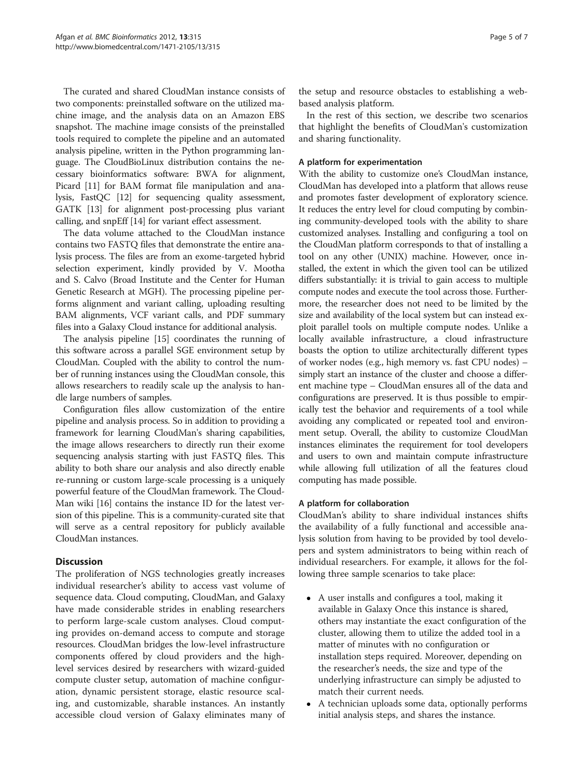The curated and shared CloudMan instance consists of two components: preinstalled software on the utilized machine image, and the analysis data on an Amazon EBS snapshot. The machine image consists of the preinstalled tools required to complete the pipeline and an automated analysis pipeline, written in the Python programming language. The CloudBioLinux distribution contains the necessary bioinformatics software: BWA for alignment, Picard [\[11](#page-6-0)] for BAM format file manipulation and analysis, FastQC [\[12\]](#page-6-0) for sequencing quality assessment, GATK [[13](#page-6-0)] for alignment post-processing plus variant calling, and snpEff [[14](#page-6-0)] for variant effect assessment.

The data volume attached to the CloudMan instance contains two FASTQ files that demonstrate the entire analysis process. The files are from an exome-targeted hybrid selection experiment, kindly provided by V. Mootha and S. Calvo (Broad Institute and the Center for Human Genetic Research at MGH). The processing pipeline performs alignment and variant calling, uploading resulting BAM alignments, VCF variant calls, and PDF summary files into a Galaxy Cloud instance for additional analysis.

The analysis pipeline [\[15\]](#page-6-0) coordinates the running of this software across a parallel SGE environment setup by CloudMan. Coupled with the ability to control the number of running instances using the CloudMan console, this allows researchers to readily scale up the analysis to handle large numbers of samples.

Configuration files allow customization of the entire pipeline and analysis process. So in addition to providing a framework for learning CloudMan's sharing capabilities, the image allows researchers to directly run their exome sequencing analysis starting with just FASTQ files. This ability to both share our analysis and also directly enable re-running or custom large-scale processing is a uniquely powerful feature of the CloudMan framework. The Cloud-Man wiki [[16](#page-6-0)] contains the instance ID for the latest version of this pipeline. This is a community-curated site that will serve as a central repository for publicly available CloudMan instances.

## **Discussion**

The proliferation of NGS technologies greatly increases individual researcher's ability to access vast volume of sequence data. Cloud computing, CloudMan, and Galaxy have made considerable strides in enabling researchers to perform large-scale custom analyses. Cloud computing provides on-demand access to compute and storage resources. CloudMan bridges the low-level infrastructure components offered by cloud providers and the highlevel services desired by researchers with wizard-guided compute cluster setup, automation of machine configuration, dynamic persistent storage, elastic resource scaling, and customizable, sharable instances. An instantly accessible cloud version of Galaxy eliminates many of

the setup and resource obstacles to establishing a webbased analysis platform.

In the rest of this section, we describe two scenarios that highlight the benefits of CloudMan's customization and sharing functionality.

## A platform for experimentation

With the ability to customize one's CloudMan instance, CloudMan has developed into a platform that allows reuse and promotes faster development of exploratory science. It reduces the entry level for cloud computing by combining community-developed tools with the ability to share customized analyses. Installing and configuring a tool on the CloudMan platform corresponds to that of installing a tool on any other (UNIX) machine. However, once installed, the extent in which the given tool can be utilized differs substantially: it is trivial to gain access to multiple compute nodes and execute the tool across those. Furthermore, the researcher does not need to be limited by the size and availability of the local system but can instead exploit parallel tools on multiple compute nodes. Unlike a locally available infrastructure, a cloud infrastructure boasts the option to utilize architecturally different types of worker nodes (e.g., high memory vs. fast CPU nodes) – simply start an instance of the cluster and choose a different machine type – CloudMan ensures all of the data and configurations are preserved. It is thus possible to empirically test the behavior and requirements of a tool while avoiding any complicated or repeated tool and environment setup. Overall, the ability to customize CloudMan instances eliminates the requirement for tool developers and users to own and maintain compute infrastructure while allowing full utilization of all the features cloud computing has made possible.

## A platform for collaboration

CloudMan's ability to share individual instances shifts the availability of a fully functional and accessible analysis solution from having to be provided by tool developers and system administrators to being within reach of individual researchers. For example, it allows for the following three sample scenarios to take place:

- A user installs and configures a tool, making it available in Galaxy Once this instance is shared, others may instantiate the exact configuration of the cluster, allowing them to utilize the added tool in a matter of minutes with no configuration or installation steps required. Moreover, depending on the researcher's needs, the size and type of the underlying infrastructure can simply be adjusted to match their current needs.
- A technician uploads some data, optionally performs initial analysis steps, and shares the instance.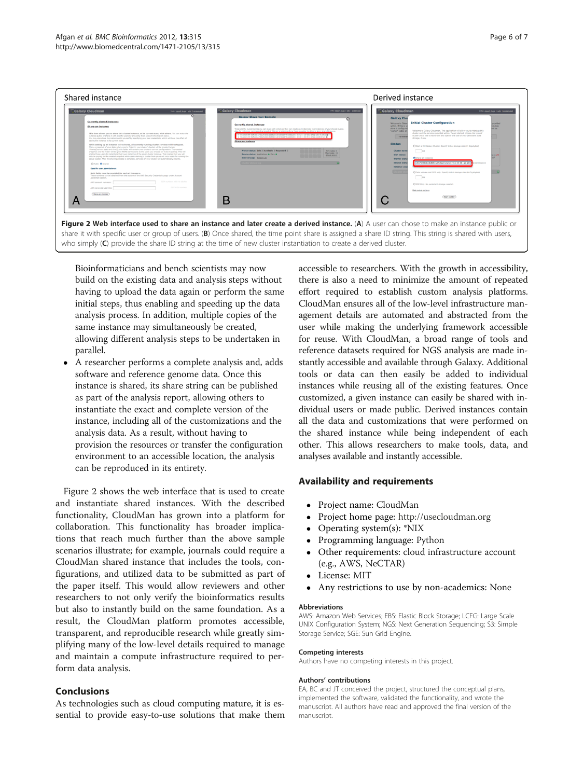

Bioinformaticians and bench scientists may now build on the existing data and analysis steps without having to upload the data again or perform the same initial steps, thus enabling and speeding up the data analysis process. In addition, multiple copies of the same instance may simultaneously be created, allowing different analysis steps to be undertaken in parallel.

 A researcher performs a complete analysis and, adds software and reference genome data. Once this instance is shared, its share string can be published as part of the analysis report, allowing others to instantiate the exact and complete version of the instance, including all of the customizations and the analysis data. As a result, without having to provision the resources or transfer the configuration environment to an accessible location, the analysis can be reproduced in its entirety.

Figure 2 shows the web interface that is used to create and instantiate shared instances. With the described functionality, CloudMan has grown into a platform for collaboration. This functionality has broader implications that reach much further than the above sample scenarios illustrate; for example, journals could require a CloudMan shared instance that includes the tools, configurations, and utilized data to be submitted as part of the paper itself. This would allow reviewers and other researchers to not only verify the bioinformatics results but also to instantly build on the same foundation. As a result, the CloudMan platform promotes accessible, transparent, and reproducible research while greatly simplifying many of the low-level details required to manage and maintain a compute infrastructure required to perform data analysis.

## Conclusions

As technologies such as cloud computing mature, it is essential to provide easy-to-use solutions that make them

accessible to researchers. With the growth in accessibility, there is also a need to minimize the amount of repeated effort required to establish custom analysis platforms. CloudMan ensures all of the low-level infrastructure management details are automated and abstracted from the user while making the underlying framework accessible for reuse. With CloudMan, a broad range of tools and reference datasets required for NGS analysis are made instantly accessible and available through Galaxy. Additional tools or data can then easily be added to individual instances while reusing all of the existing features. Once customized, a given instance can easily be shared with individual users or made public. Derived instances contain all the data and customizations that were performed on the shared instance while being independent of each other. This allows researchers to make tools, data, and analyses available and instantly accessible.

## Availability and requirements

- Project name: CloudMan
- Project home page: [http://usecloudman.org](http://www.usecloudman.org)
- Operating system(s): \*NIX
- Programming language: Python
- Other requirements: cloud infrastructure account (e.g., AWS, NeCTAR)
- License: MIT
- Any restrictions to use by non-academics: None

#### Abbreviations

AWS: Amazon Web Services; EBS: Elastic Block Storage; LCFG: Large Scale UNIX Configuration System; NGS: Next Generation Sequencing; S3: Simple Storage Service; SGE: Sun Grid Engine.

#### Competing interests

Authors have no competing interests in this project.

#### Authors' contributions

EA, BC and JT conceived the project, structured the conceptual plans, implemented the software, validated the functionality, and wrote the manuscript. All authors have read and approved the final version of the manuscript.